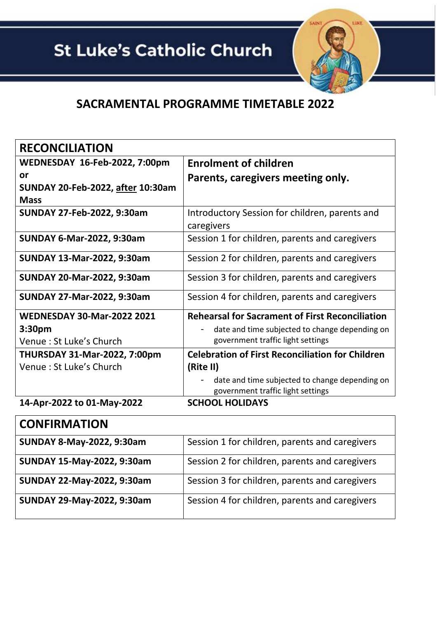## **SACRAMENTAL PROGRAMME TIMETABLE 2022**

| <b>RECONCILIATION</b>                    |                                                         |
|------------------------------------------|---------------------------------------------------------|
| WEDNESDAY 16-Feb-2022, 7:00pm            | <b>Enrolment of children</b>                            |
| <b>or</b>                                | Parents, caregivers meeting only.                       |
| <b>SUNDAY 20-Feb-2022, after 10:30am</b> |                                                         |
| <b>Mass</b>                              |                                                         |
| <b>SUNDAY 27-Feb-2022, 9:30am</b>        | Introductory Session for children, parents and          |
|                                          | caregivers                                              |
| <b>SUNDAY 6-Mar-2022, 9:30am</b>         | Session 1 for children, parents and caregivers          |
| <b>SUNDAY 13-Mar-2022, 9:30am</b>        | Session 2 for children, parents and caregivers          |
| <b>SUNDAY 20-Mar-2022, 9:30am</b>        | Session 3 for children, parents and caregivers          |
| <b>SUNDAY 27-Mar-2022, 9:30am</b>        | Session 4 for children, parents and caregivers          |
| <b>WEDNESDAY 30-Mar-2022 2021</b>        | <b>Rehearsal for Sacrament of First Reconciliation</b>  |
| 3:30 <sub>pm</sub>                       | date and time subjected to change depending on          |
| Venue: St Luke's Church                  | government traffic light settings                       |
| <b>THURSDAY 31-Mar-2022, 7:00pm</b>      | <b>Celebration of First Reconciliation for Children</b> |
| Venue: St Luke's Church                  | (Rite II)                                               |
|                                          | date and time subjected to change depending on          |
|                                          | government traffic light settings                       |
| 14-Apr-2022 to 01-May-2022               | <b>SCHOOL HOLIDAYS</b>                                  |

| <b>CONFIRMATION</b>               |                                                |
|-----------------------------------|------------------------------------------------|
| <b>SUNDAY 8-May-2022, 9:30am</b>  | Session 1 for children, parents and caregivers |
| <b>SUNDAY 15-May-2022, 9:30am</b> | Session 2 for children, parents and caregivers |
| <b>SUNDAY 22-May-2022, 9:30am</b> | Session 3 for children, parents and caregivers |
| <b>SUNDAY 29-May-2022, 9:30am</b> | Session 4 for children, parents and caregivers |